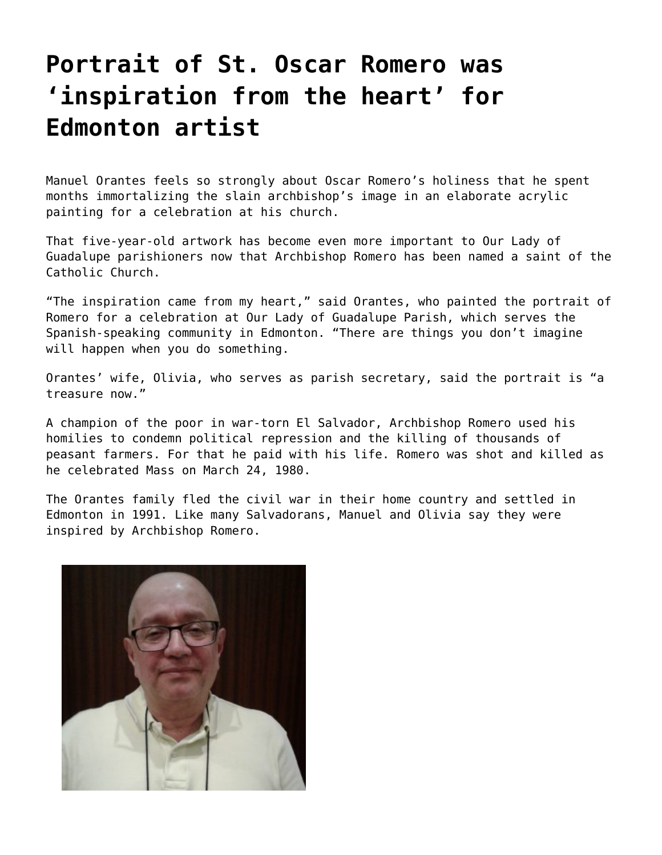## **[Portrait of St. Oscar Romero was](https://grandinmedia.ca/portrait-st-oscar-romero-inspiration-heart-edmonton-artist/) ['inspiration from the heart' for](https://grandinmedia.ca/portrait-st-oscar-romero-inspiration-heart-edmonton-artist/) [Edmonton artist](https://grandinmedia.ca/portrait-st-oscar-romero-inspiration-heart-edmonton-artist/)**

Manuel Orantes feels so strongly about Oscar Romero's holiness that he spent months immortalizing the slain archbishop's image in an elaborate acrylic painting for a celebration at his church.

That five-year-old artwork has become even more important to Our Lady of Guadalupe parishioners now that Archbishop Romero has been named a saint of the Catholic Church.

"The inspiration came from my heart," said Orantes, who painted the portrait of Romero for a celebration at Our Lady of Guadalupe Parish, which serves the Spanish-speaking community in Edmonton. "There are things you don't imagine will happen when you do something.

Orantes' wife, Olivia, who serves as parish secretary, said the portrait is "a treasure now."

A champion of the poor in war-torn El Salvador, Archbishop Romero used his homilies to condemn political repression and the killing of thousands of peasant farmers. For that he paid with his life. Romero was shot and killed as he celebrated Mass on March 24, 1980.

The Orantes family fled the civil war in their home country and settled in Edmonton in 1991. Like many Salvadorans, Manuel and Olivia say they were inspired by Archbishop Romero.

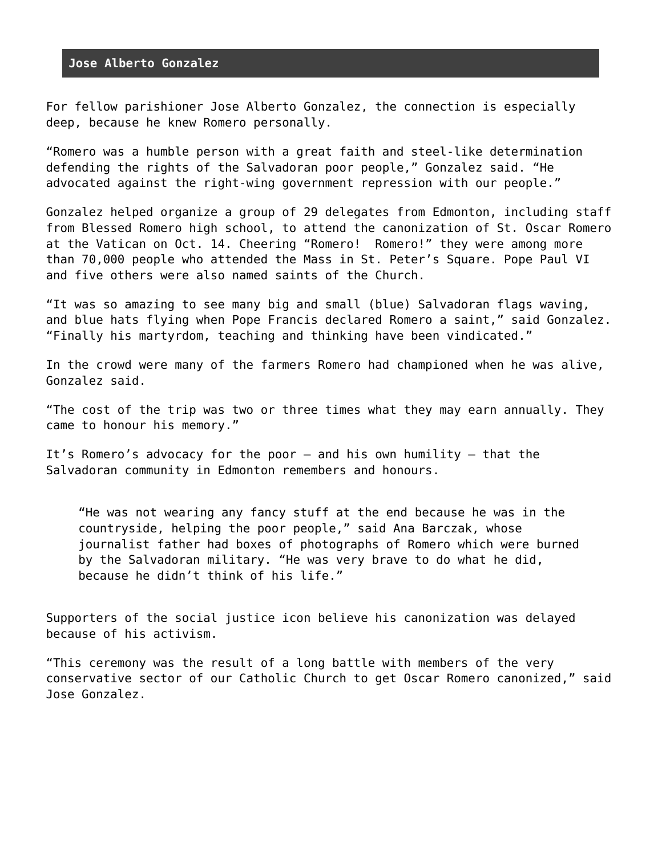## **Jose Alberto Gonzalez**

For fellow parishioner Jose Alberto Gonzalez, the connection is especially deep, because he knew Romero personally.

"Romero was a humble person with a great faith and steel-like determination defending the rights of the Salvadoran poor people," Gonzalez said. "He advocated against the right-wing government repression with our people."

Gonzalez helped organize a group of 29 delegates from Edmonton, including staff from Blessed Romero high school, to attend the canonization of St. Oscar Romero at the Vatican on Oct. 14. Cheering "Romero! Romero!" they were among more than 70,000 people who attended the Mass in St. Peter's Square. Pope Paul VI and five others were also named saints of the Church.

"It was so amazing to see many big and small (blue) Salvadoran flags waving, and blue hats flying when Pope Francis declared Romero a saint," said Gonzalez. "Finally his martyrdom, teaching and thinking have been vindicated."

In the crowd were many of the farmers Romero had championed when he was alive, Gonzalez said.

"The cost of the trip was two or three times what they may earn annually. They came to honour his memory."

It's Romero's advocacy for the poor – and his own humility – that the Salvadoran community in Edmonton remembers and honours.

"He was not wearing any fancy stuff at the end because he was in the countryside, helping the poor people," said Ana Barczak, whose journalist father had boxes of photographs of Romero which were burned by the Salvadoran military. "He was very brave to do what he did, because he didn't think of his life."

Supporters of the social justice icon believe his canonization was delayed because of his activism.

"This ceremony was the result of a long battle with members of the very conservative sector of our Catholic Church to get Oscar Romero canonized," said Jose Gonzalez.